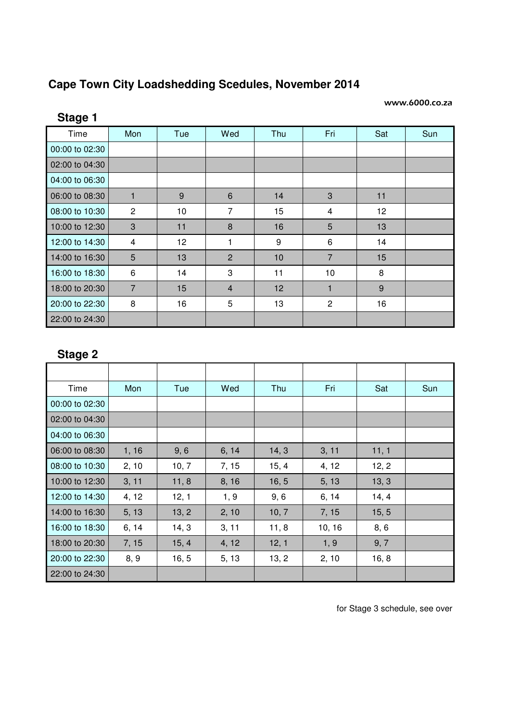## **Cape Town City Loadshedding Scedules, November 2014**

## www.6000.co.za

| Stage 1        |                |     |                |     |                |     |     |
|----------------|----------------|-----|----------------|-----|----------------|-----|-----|
| Time           | Mon            | Tue | Wed            | Thu | Fri            | Sat | Sun |
| 00:00 to 02:30 |                |     |                |     |                |     |     |
| 02:00 to 04:30 |                |     |                |     |                |     |     |
| 04:00 to 06:30 |                |     |                |     |                |     |     |
| 06:00 to 08:30 | 1              | 9   | 6              | 14  | 3              | 11  |     |
| 08:00 to 10:30 | $\overline{2}$ | 10  | $\overline{7}$ | 15  | 4              | 12  |     |
| 10:00 to 12:30 | 3              | 11  | 8              | 16  | 5              | 13  |     |
| 12:00 to 14:30 | 4              | 12  | 1              | 9   | 6              | 14  |     |
| 14:00 to 16:30 | 5              | 13  | 2              | 10  | $\overline{7}$ | 15  |     |
| 16:00 to 18:30 | 6              | 14  | 3              | 11  | 10             | 8   |     |
| 18:00 to 20:30 | $\overline{7}$ | 15  | $\overline{4}$ | 12  | 1              | 9   |     |
| 20:00 to 22:30 | 8              | 16  | 5              | 13  | $\overline{c}$ | 16  |     |
| 22:00 to 24:30 |                |     |                |     |                |     |     |

## **Stage 2**

| Time           | Mon   | Tue   | Wed   | Thu   | Fri    | Sat   | Sun |
|----------------|-------|-------|-------|-------|--------|-------|-----|
| 00:00 to 02:30 |       |       |       |       |        |       |     |
| 02:00 to 04:30 |       |       |       |       |        |       |     |
| 04:00 to 06:30 |       |       |       |       |        |       |     |
| 06:00 to 08:30 | 1, 16 | 9, 6  | 6, 14 | 14, 3 | 3, 11  | 11, 1 |     |
| 08:00 to 10:30 | 2, 10 | 10, 7 | 7, 15 | 15, 4 | 4, 12  | 12, 2 |     |
| 10:00 to 12:30 | 3, 11 | 11, 8 | 8, 16 | 16, 5 | 5, 13  | 13, 3 |     |
| 12:00 to 14:30 | 4, 12 | 12, 1 | 1, 9  | 9, 6  | 6, 14  | 14, 4 |     |
| 14:00 to 16:30 | 5, 13 | 13, 2 | 2, 10 | 10, 7 | 7, 15  | 15, 5 |     |
| 16:00 to 18:30 | 6, 14 | 14, 3 | 3, 11 | 11, 8 | 10, 16 | 8, 6  |     |
| 18:00 to 20:30 | 7, 15 | 15, 4 | 4, 12 | 12, 1 | 1, 9   | 9, 7  |     |
| 20:00 to 22:30 | 8, 9  | 16, 5 | 5, 13 | 13, 2 | 2, 10  | 16, 8 |     |
| 22:00 to 24:30 |       |       |       |       |        |       |     |

for Stage 3 schedule, see over